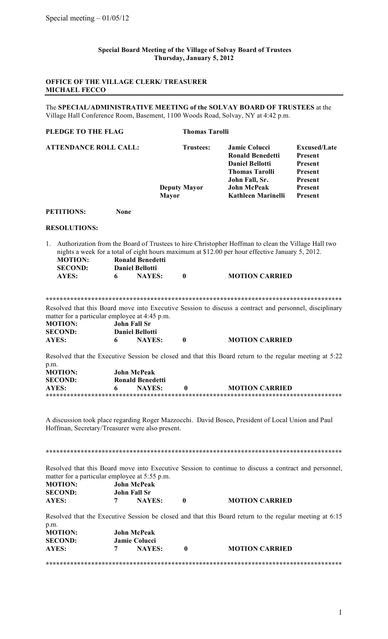## **Special Board Meeting of the Village of Solvay Board of Trustees Thursday, January 5, 2012**

## **OFFICE OF THE VILLAGE CLERK/ TREASURER MICHAEL FECCO**

The **SPECIAL/ADMINISTRATIVE MEETING of the SOLVAY BOARD OF TRUSTEES** at the Village Hall Conference Room, Basement, 1100 Woods Road, Solvay, NY at 4:42 p.m.

| PLEDGE TO THE FLAG |                                                                                                   |             |                                                                    | <b>Thomas Tarolli</b>                   |                                                                                                                                                                                                                                |                                                                                              |  |  |
|--------------------|---------------------------------------------------------------------------------------------------|-------------|--------------------------------------------------------------------|-----------------------------------------|--------------------------------------------------------------------------------------------------------------------------------------------------------------------------------------------------------------------------------|----------------------------------------------------------------------------------------------|--|--|
|                    | <b>ATTENDANCE ROLL CALL:</b>                                                                      |             | <b>Mayor</b>                                                       | <b>Trustees:</b><br><b>Deputy Mayor</b> | <b>Jamie Colucci</b><br><b>Ronald Benedetti</b><br><b>Daniel Bellotti</b><br><b>Thomas Tarolli</b><br>John Fall, Sr.<br><b>John McPeak</b><br>Kathleen Marinelli                                                               | <b>Excused/Late</b><br>Present<br><b>Present</b><br>Present<br>Present<br>Present<br>Present |  |  |
|                    | <b>PETITIONS:</b>                                                                                 | <b>None</b> |                                                                    |                                         |                                                                                                                                                                                                                                |                                                                                              |  |  |
|                    | <b>RESOLUTIONS:</b>                                                                               |             |                                                                    |                                         |                                                                                                                                                                                                                                |                                                                                              |  |  |
| 1.                 | <b>MOTION:</b><br><b>SECOND:</b><br>AYES:                                                         | 6           | <b>Ronald Benedetti</b><br><b>Daniel Bellotti</b><br><b>NAYES:</b> | $\bf{0}$                                | Authorization from the Board of Trustees to hire Christopher Hoffman to clean the Village Hall two<br>nights a week for a total of eight hours maximum at \$12.00 per hour effective January 5, 2012.<br><b>MOTION CARRIED</b> |                                                                                              |  |  |
|                    | matter for a particular employee at 4:45 p.m.<br><b>MOTION:</b><br><b>SECOND:</b><br><b>AYES:</b> | 6           | <b>John Fall Sr</b><br><b>Daniel Bellotti</b><br><b>NAYES:</b>     | $\mathbf{0}$                            | Resolved that this Board move into Executive Session to discuss a contract and personnel, disciplinary<br><b>MOTION CARRIED</b>                                                                                                |                                                                                              |  |  |
|                    |                                                                                                   |             |                                                                    |                                         | Resolved that the Executive Session be closed and that this Board return to the regular meeting at 5:22                                                                                                                        |                                                                                              |  |  |
| p.m.               | <b>MOTION:</b><br><b>SECOND:</b><br><b>AYES:</b>                                                  | 6           | <b>John McPeak</b><br><b>Ronald Benedetti</b><br><b>NAYES:</b>     | $\bf{0}$                                | <b>MOTION CARRIED</b>                                                                                                                                                                                                          |                                                                                              |  |  |
|                    | Hoffman, Secretary/Treasurer were also present.                                                   |             |                                                                    |                                         | A discussion took place regarding Roger Mazzocchi. David Bosco, President of Local Union and Paul                                                                                                                              |                                                                                              |  |  |
|                    |                                                                                                   |             |                                                                    |                                         |                                                                                                                                                                                                                                |                                                                                              |  |  |
|                    | matter for a particular employee at 5:55 p.m.<br><b>MOTION:</b><br><b>SECOND:</b><br><b>AYES:</b> | 7           | <b>John McPeak</b><br><b>John Fall Sr</b><br><b>NAYES:</b>         | $\bf{0}$                                | Resolved that this Board move into Executive Session to continue to discuss a contract and personnel,<br><b>MOTION CARRIED</b>                                                                                                 |                                                                                              |  |  |
|                    |                                                                                                   |             |                                                                    |                                         |                                                                                                                                                                                                                                |                                                                                              |  |  |
| p.m.               | <b>MOTION:</b>                                                                                    |             | <b>John McPeak</b>                                                 |                                         | Resolved that the Executive Session be closed and that this Board return to the regular meeting at 6:15                                                                                                                        |                                                                                              |  |  |
|                    | <b>SECOND:</b>                                                                                    |             | <b>Jamie Colucci</b>                                               |                                         |                                                                                                                                                                                                                                |                                                                                              |  |  |